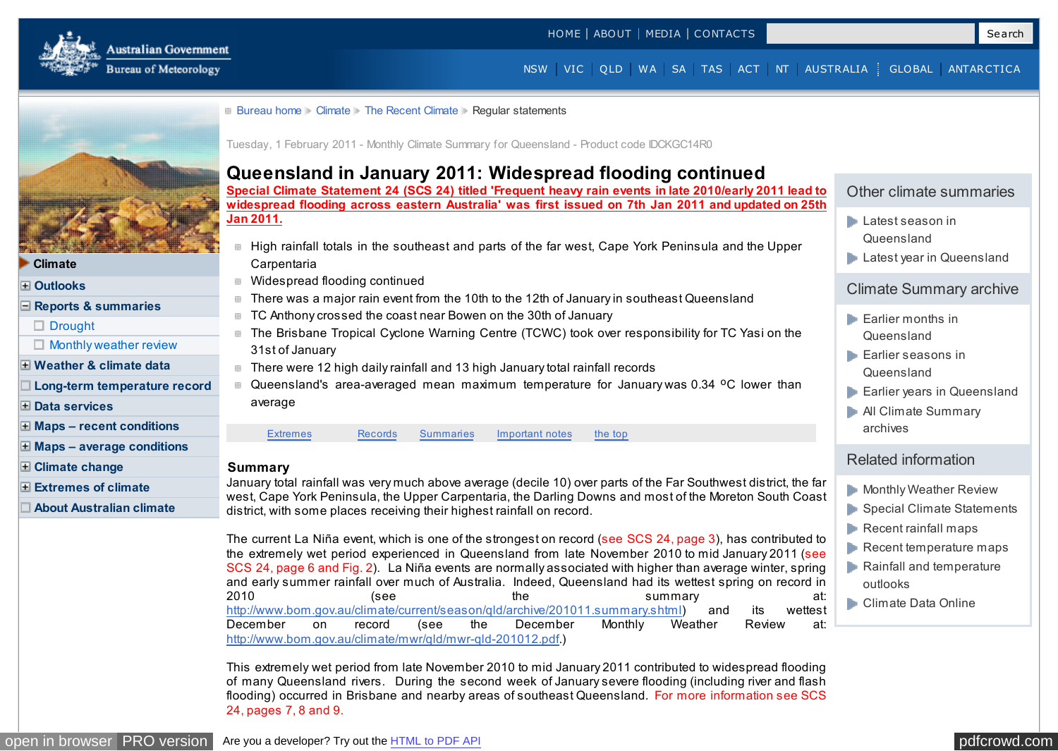<span id="page-0-0"></span>



**[Climate](http://www.bom.gov.au/climate/)**

**[Outlooks](http://www.bom.gov.au/climate/ahead/)**

- **[Reports & summaries](http://www.bom.gov.au/climate/current/)**
- [Drought](http://www.bom.gov.au/climate/drought/)
- $\Box$  [Monthly weather review](http://www.bom.gov.au/climate/mwr/)
- **[Weather & climate data](http://www.bom.gov.au/climate/data/)**
- **[Long-term temperature record](http://www.bom.gov.au/climate/change/acorn-sat/)**

**[Data services](http://www.bom.gov.au/climate/data-services/)**

- **[Maps recent conditions](http://www.bom.gov.au/climate/maps/)**
- **[Maps average conditions](http://www.bom.gov.au/climate/averages/maps.shtml)**
- **[Climate change](http://www.bom.gov.au/climate/change/)**
- **[Extremes of climate](http://www.bom.gov.au/climate/extremes/)**
- **[About Australian climate](http://www.bom.gov.au/climate/about/)**

| □ Bureau home Climate The Recent Climate Regular statements |  |  |
|-------------------------------------------------------------|--|--|
|-------------------------------------------------------------|--|--|

Tuesday, 1 February 2011 - Monthly Climate Summary for Queensland - Product code IDCKGC14R0

# **Queensland in January 2011: Widespread flooding continued**



This extremely wet period from late November 2010 to mid January 2011 contributed to widespread flooding of many Queensland rivers. During the second week of January severe flooding (including river and flash flooding) occurred in Brisbane and nearby areas of southeast Queensland. For more information see SCS 24, pages 7, 8 and 9.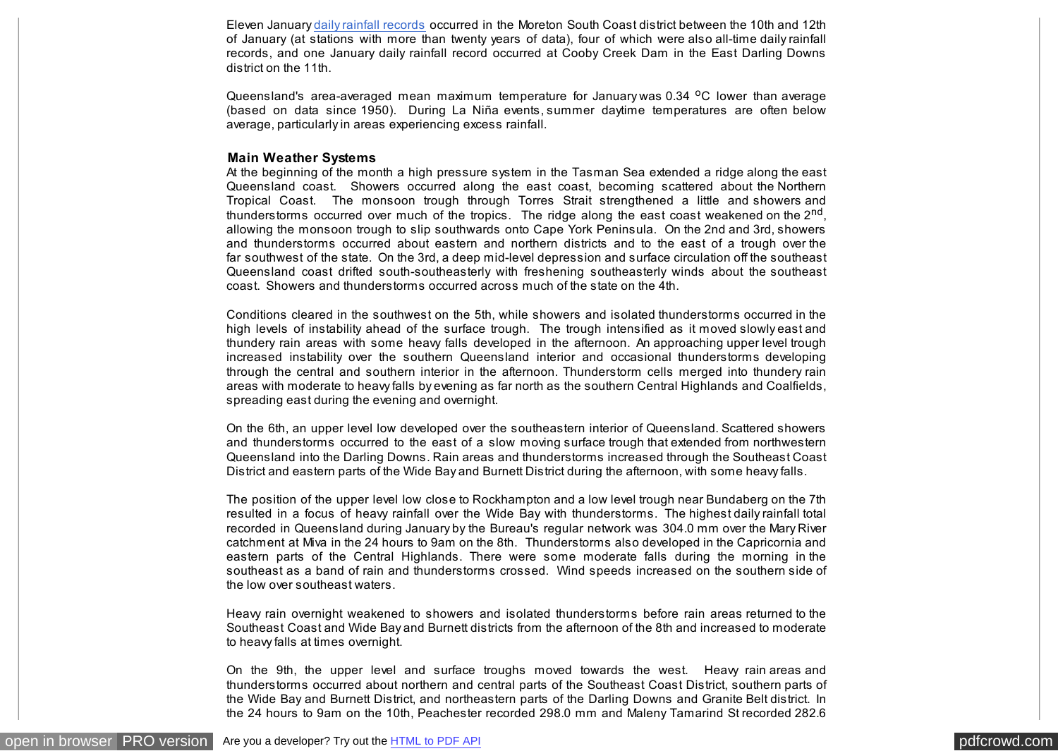Eleven January [daily rainfall records](#page-7-0) occurred in the Moreton South Coast district between the 10th and 12th of January (at stations with more than twenty years of data), four of which were also all-time daily rainfall records, and one January daily rainfall record occurred at Cooby Creek Dam in the East Darling Downs district on the 11th.

Queensland's area-averaged mean maximum temperature for January was 0.34 °C lower than average (based on data since 1950). During La Niña events, summer daytime temperatures are often below average, particularly in areas experiencing excess rainfall.

#### **Main Weather Systems**

At the beginning of the month a high pressure system in the Tasman Sea extended a ridge along the east Queensland coast. Showers occurred along the east coast, becoming scattered about the Northern Tropical Coast. The monsoon trough through Torres Strait strengthened a little and showers and thunderstorms occurred over much of the tropics. The ridge along the east coast weakened on the 2<sup>nd</sup>, allowing the monsoon trough to slip southwards onto Cape York Peninsula. On the 2nd and 3rd, showers and thunderstorms occurred about eastern and northern districts and to the east of a trough over the far southwest of the state. On the 3rd, a deep mid-level depression and surface circulation off the southeast Queensland coast drifted south-southeasterly with freshening southeasterly winds about the southeast coast. Showers and thunderstorms occurred across much of the state on the 4th.

Conditions cleared in the southwest on the 5th, while showers and isolated thunderstorms occurred in the high levels of instability ahead of the surface trough. The trough intensified as it moved slowly east and thundery rain areas with some heavy falls developed in the afternoon. An approaching upper level trough increased instability over the southern Queensland interior and occasional thunderstorms developing through the central and southern interior in the afternoon. Thunderstorm cells merged into thundery rain areas with moderate to heavy falls by evening as far north as the southern Central Highlands and Coalfields, spreading east during the evening and overnight.

On the 6th, an upper level low developed over the southeastern interior of Queensland. Scattered showers and thunderstorms occurred to the east of a slow moving surface trough that extended from northwestern Queensland into the Darling Downs. Rain areas and thunderstorms increased through the Southeast Coast District and eastern parts of the Wide Bay and Burnett District during the afternoon, with some heavy falls.

The position of the upper level low close to Rockhampton and a low level trough near Bundaberg on the 7th resulted in a focus of heavy rainfall over the Wide Bay with thunderstorms. The highest daily rainfall total recorded in Queensland during January by the Bureau's regular network was 304.0 mm over the Mary River catchment at Miva in the 24 hours to 9am on the 8th. Thunderstorms also developed in the Capricornia and eastern parts of the Central Highlands. There were some moderate falls during the morning in the southeast as a band of rain and thunderstorms crossed. Wind speeds increased on the southern side of the low over southeast waters.

Heavy rain overnight weakened to showers and isolated thunderstorms before rain areas returned to the Southeast Coast and Wide Bay and Burnett districts from the afternoon of the 8th and increased to moderate to heavy falls at times overnight.

On the 9th, the upper level and surface troughs moved towards the west. Heavy rain areas and thunderstorms occurred about northern and central parts of the Southeast Coast District, southern parts of the Wide Bay and Burnett District, and northeastern parts of the Darling Downs and Granite Belt district. In the 24 hours to 9am on the 10th, Peachester recorded 298.0 mm and Maleny Tamarind St recorded 282.6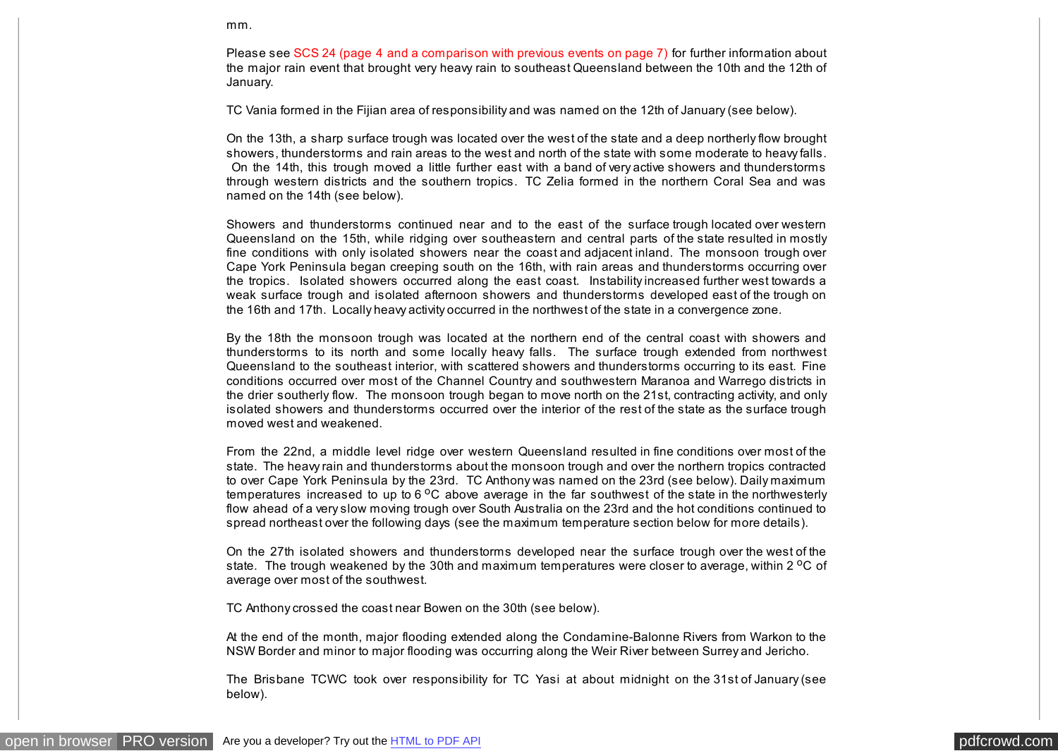mm.

Please see SCS 24 (page 4 and a comparison with previous events on page 7) for further information about the major rain event that brought very heavy rain to southeast Queensland between the 10th and the 12th of January.

TC Vania formed in the Fijian area of responsibility and was named on the 12th of January (see below).

On the 13th, a sharp surface trough was located over the west of the state and a deep northerly flow brought showers, thunderstorms and rain areas to the west and north of the state with some moderate to heavy falls. On the 14th, this trough moved a little further east with a band of very active showers and thunderstorms through western districts and the southern tropics. TC Zelia formed in the northern Coral Sea and was named on the 14th (see below).

Showers and thunderstorms continued near and to the east of the surface trough located over western Queensland on the 15th, while ridging over southeastern and central parts of the state resulted in mostly fine conditions with only isolated showers near the coast and adjacent inland. The monsoon trough over Cape York Peninsula began creeping south on the 16th, with rain areas and thunderstorms occurring over the tropics. Isolated showers occurred along the east coast. Instability increased further west towards a weak surface trough and isolated afternoon showers and thunderstorms developed east of the trough on the 16th and 17th. Locally heavy activity occurred in the northwest of the state in a convergence zone.

By the 18th the monsoon trough was located at the northern end of the central coast with showers and thunderstorms to its north and some locally heavy falls. The surface trough extended from northwest Queensland to the southeast interior, with scattered showers and thunderstorms occurring to its east. Fine conditions occurred over most of the Channel Country and southwestern Maranoa and Warrego districts in the drier southerly flow. The monsoon trough began to move north on the 21st, contracting activity, and only isolated showers and thunderstorms occurred over the interior of the rest of the state as the surface trough moved west and weakened.

From the 22nd, a middle level ridge over western Queensland resulted in fine conditions over most of the state. The heavy rain and thunderstorms about the monsoon trough and over the northern tropics contracted to over Cape York Peninsula by the 23rd. TC Anthony was named on the 23rd (see below). Daily maximum temperatures increased to up to 6  $\mathrm{^{\circ}C}$  above average in the far southwest of the state in the northwesterly flow ahead of a very slow moving trough over South Australia on the 23rd and the hot conditions continued to spread northeast over the following days (see the maximum temperature section below for more details).

On the 27th isolated showers and thunderstorms developed near the surface trough over the west of the state. The trough weakened by the 30th and maximum temperatures were closer to average, within 2  $\rm ^{o}C$  of average over most of the southwest.

TC Anthony crossed the coast near Bowen on the 30th (see below).

At the end of the month, major flooding extended along the Condamine-Balonne Rivers from Warkon to the NSW Border and minor to major flooding was occurring along the Weir River between Surrey and Jericho.

The Brisbane TCWC took over responsibility for TC Yasi at about midnight on the 31st of January (see below).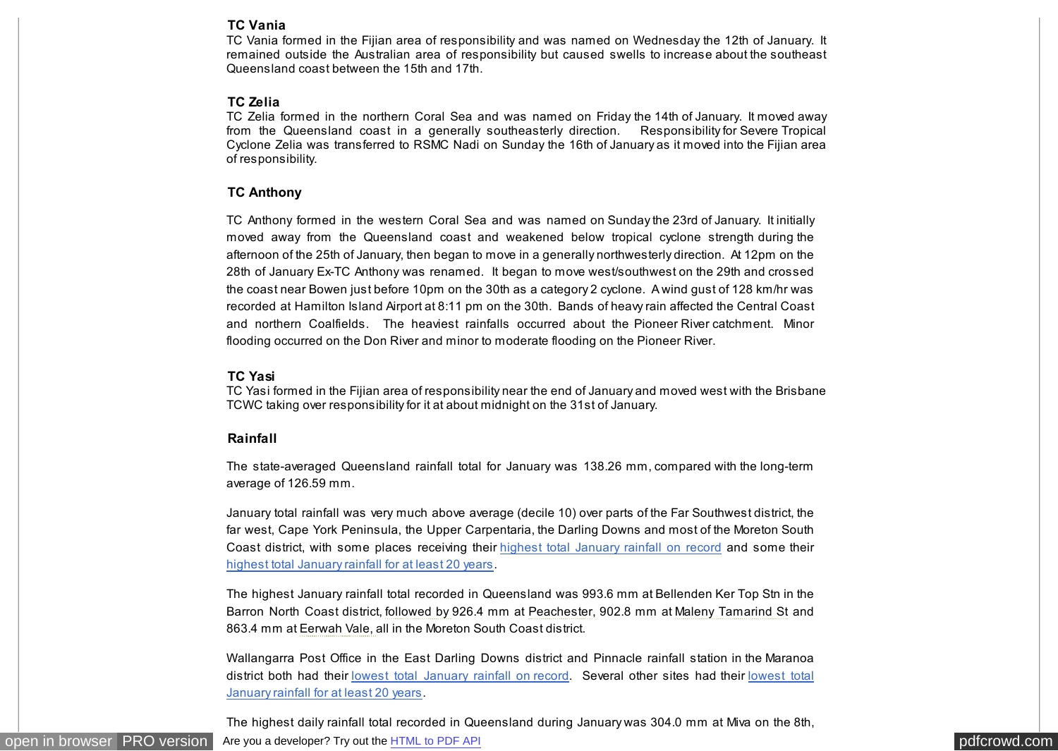# **TC Vania**

TC Vania formed in the Fijian area of responsibility and was named on Wednesday the 12th of January. It remained outside the Australian area of responsibility but caused swells to increase about the southeast Queensland coast between the 15th and 17th.

# **TC Zelia**

TC Zelia formed in the northern Coral Sea and was named on Friday the 14th of January. It moved away from the Queensland coast in a generally southeasterly direction. Responsibility for Severe Tropical Cyclone Zelia was transferred to RSMC Nadi on Sunday the 16th of January as it moved into the Fijian area of responsibility.

# **TC Anthony**

TC Anthony formed in the western Coral Sea and was named on Sunday the 23rd of January. It initially moved away from the Queensland coast and weakened below tropical cyclone strength during the afternoon of the 25th of January, then began to move in a generally northwesterly direction. At 12pm on the 28th of January Ex-TC Anthony was renamed. It began to move west/southwest on the 29th and crossed the coast near Bowen just before 10pm on the 30th as a category 2 cyclone. A wind gust of 128 km/hr was recorded at Hamilton Island Airport at 8:11 pm on the 30th. Bands of heavy rain affected the Central Coast and northern Coalfields. The heaviest rainfalls occurred about the Pioneer River catchment. Minor flooding occurred on the Don River and minor to moderate flooding on the Pioneer River.

#### **TC Yasi**

TC Yasi formed in the Fijian area of responsibility near the end of January and moved west with the Brisbane TCWC taking over responsibility for it at about midnight on the 31st of January.

# **Rainfall**

The state-averaged Queensland rainfall total for January was 138.26 mm, compared with the long-term average of 126.59 mm.

January total rainfall was very much above average (decile 10) over parts of the Far Southwest district, the far west, Cape York Peninsula, the Upper Carpentaria, the Darling Downs and most of the Moreton South Coast district, with some places receiving their [highest total January rainfall on record](#page-7-0) and some their [highest total January rainfall for at least 20 years.](#page-8-0)

The highest January rainfall total recorded in Queensland was 993.6 mm at Bellenden Ker Top Stn in the Barron North Coast district, followed by 926.4 mm at Peachester, 902.8 mm at Maleny Tamarind St and 863.4 mm at Eerwah Vale, all in the Moreton South Coast district.

Wallangarra Post Office in the East Darling Downs district and Pinnacle rainfall station in the Maranoa [district both had their lowest total January rainfall on record. Several other sites had their](#page-9-0) lowest total January rainfall for at least 20 years.

The highest daily rainfall total recorded in Queensland during January was 304.0 mm at Miva on the 8th,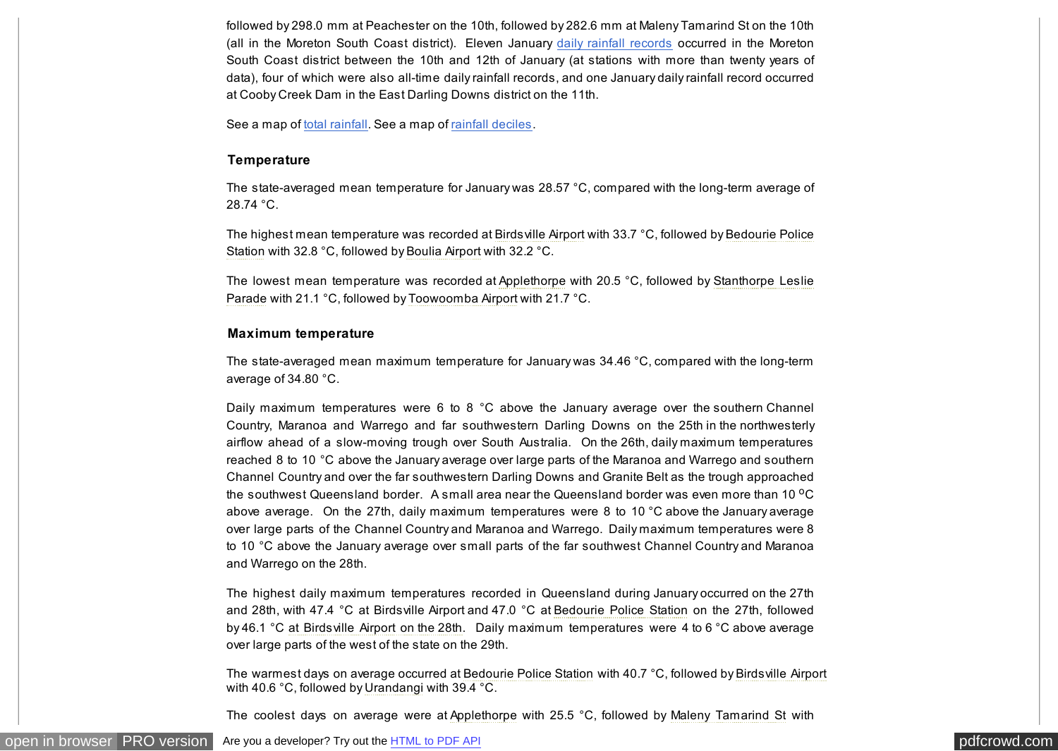followed by 298.0 mm at Peachester on the 10th, followed by 282.6 mm at Maleny Tamarind St on the 10th (all in the Moreton South Coast district). Eleven January [daily rainfall records](#page-7-0) occurred in the Moreton South Coast district between the 10th and 12th of January (at stations with more than twenty years of data), four of which were also all-time daily rainfall records, and one January daily rainfall record occurred at Cooby Creek Dam in the East Darling Downs district on the 11th.

See a map of [total rainfall.](javascript:ShowMap() See a map of [rainfall deciles.](javascript:ShowMap()

#### **Temperature**

The state-averaged mean temperature for January was 28.57 °C, compared with the long-term average of 28.74 °C.

The highest mean temperature was recorded at Birdsville Airport with 33.7 °C, followed by Bedourie Police Station with 32.8 °C, followed by Boulia Airport with 32.2 °C.

The lowest mean temperature was recorded at Applethorpe with 20.5 °C, followed by Stanthorpe Leslie Parade with 21.1 °C, followed by Toowoomba Airport with 21.7 °C.

### **Maximum temperature**

The state-averaged mean maximum temperature for January was 34.46 °C, compared with the long-term average of 34.80 °C.

Daily maximum temperatures were 6 to 8 °C above the January average over the southern Channel Country, Maranoa and Warrego and far southwestern Darling Downs on the 25th in the northwesterly airflow ahead of a slow-moving trough over South Australia. On the 26th, daily maximum temperatures reached 8 to 10 °C above the January average over large parts of the Maranoa and Warrego and southern Channel Country and over the far southwestern Darling Downs and Granite Belt as the trough approached the southwest Queensland border. A small area near the Queensland border was even more than 10 °C above average. On the 27th, daily maximum temperatures were 8 to 10 °C above the January average over large parts of the Channel Country and Maranoa and Warrego. Daily maximum temperatures were 8 to 10 °C above the January average over small parts of the far southwest Channel Country and Maranoa and Warrego on the 28th.

The highest daily maximum temperatures recorded in Queensland during January occurred on the 27th and 28th, with 47.4 °C at Birdsville Airport and 47.0 °C at Bedourie Police Station on the 27th, followed by 46.1 °C at Birdsville Airport on the 28th. Daily maximum temperatures were 4 to 6 °C above average over large parts of the west of the state on the 29th.

The warmest days on average occurred at Bedourie Police Station with 40.7 °C, followed by Birdsville Airport with 40.6 °C, followed by Urandangi with 39.4 °C.

The coolest days on average were at Applethorpe with 25.5 °C, followed by Maleny Tamarind St with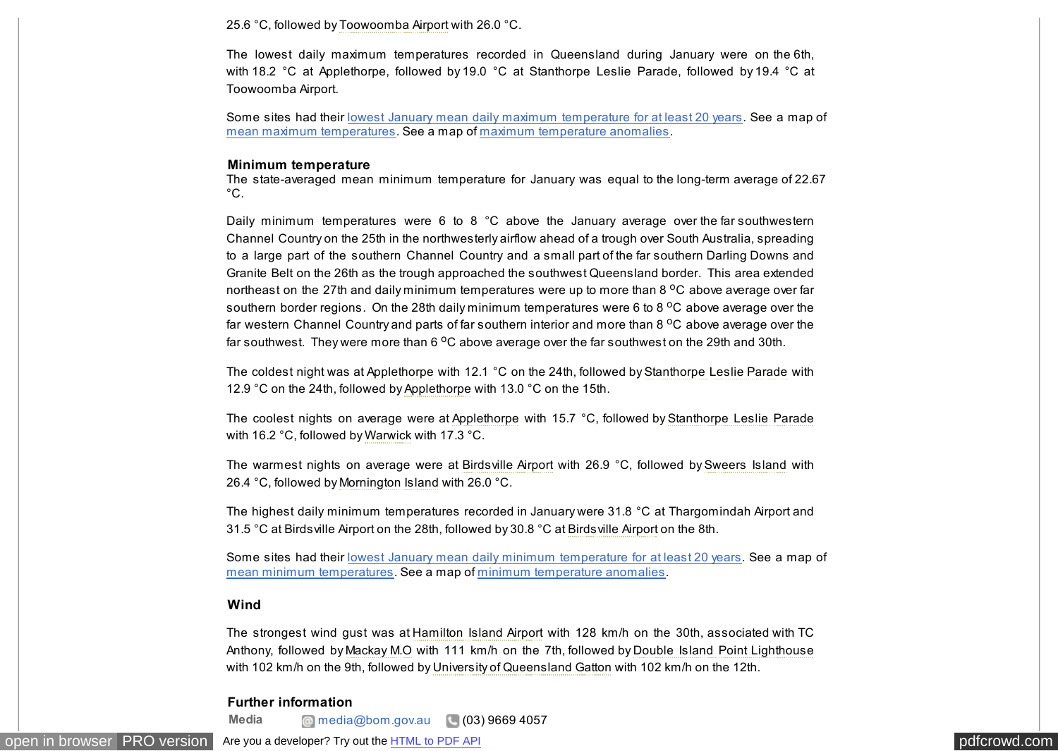25.6 °C, followed by Toowoomba Airport with 26.0 °C.

The lowest daily maximum temperatures recorded in Queensland during January were on the 6th, with 18.2 °C at Applethorpe, followed by 19.0 °C at Stanthorpe Leslie Parade, followed by 19.4 °C at Toowoomba Airport.

Some sites had their [lowest January mean daily maximum temperature for at least 20 years.](#page-9-0) See a map of [mean maximum temperatures.](javascript:ShowMap() See a map of [maximum temperature anomalies.](javascript:ShowMap()

#### **Minimum temperature**

The state-averaged mean minimum temperature for January was equal to the long-term average of 22.67  $^{\circ}$ C.

Daily minimum temperatures were 6 to 8 °C above the January average over the far southwestern Channel Country on the 25th in the northwesterly airflow ahead of a trough over South Australia, spreading to a large part of the southern Channel Country and a small part of the far southern Darling Downs and Granite Belt on the 26th as the trough approached the southwest Queensland border. This area extended northeast on the 27th and daily minimum temperatures were up to more than 8 <sup>o</sup>C above average over far southern border regions. On the 28th daily minimum temperatures were 6 to 8  $\mathrm{^oC}$  above average over the far western Channel Country and parts of far southern interior and more than 8 °C above average over the far southwest. They were more than 6  $^{\circ}$ C above average over the far southwest on the 29th and 30th.

The coldest night was at Applethorpe with 12.1 °C on the 24th, followed by Stanthorpe Leslie Parade with 12.9 °C on the 24th, followed by Applethorpe with 13.0 °C on the 15th.

The coolest nights on average were at Applethorpe with 15.7 °C, followed by Stanthorpe Leslie Parade with 16.2 °C, followed by Warwick with 17.3 °C.

The warmest nights on average were at Birdsville Airport with 26.9 °C, followed by Sweers Island with 26.4 °C, followed by Mornington Island with 26.0 °C.

The highest daily minimum temperatures recorded in January were 31.8 °C at Thargomindah Airport and 31.5 °C at Birdsville Airport on the 28th, followed by 30.8 °C at Birdsville Airport on the 8th.

Some sites had their [lowest January mean daily minimum temperature for at least 20 years.](#page-10-0) See a map of [mean minimum temperatures.](javascript:ShowMap() See a map of [minimum temperature anomalies.](javascript:ShowMap()

# **Wind**

The strongest wind gust was at Hamilton Island Airport with 128 km/h on the 30th, associated with TC Anthony, followed by Mackay M.O with 111 km/h on the 7th, followed by Double Island Point Lighthouse with 102 km/h on the 9th, followed by University of Queensland Gatton with 102 km/h on the 12th.

# **Further information**

**Media** [media@bom.gov.au](mailto:media@bom.gov.au) (03) 9669 4057

[open in browser](http://pdfcrowd.com/redirect/?url=http%3a%2f%2fwww.bom.gov.au%2fclimate%2fcurrent%2fmonth%2fqld%2farchive%2f201101.summary.shtml&id=ma-161201020542-fee5c195) **[PRO version](http://pdfcrowd.com/customize/)** Are you a developer? Try out th[e HTML to PDF API](http://pdfcrowd.com/html-to-pdf-api/?ref=pdf) **produce the endurated and are set of the endurated and produce the product** [pdfcrowd.com](http://pdfcrowd.com)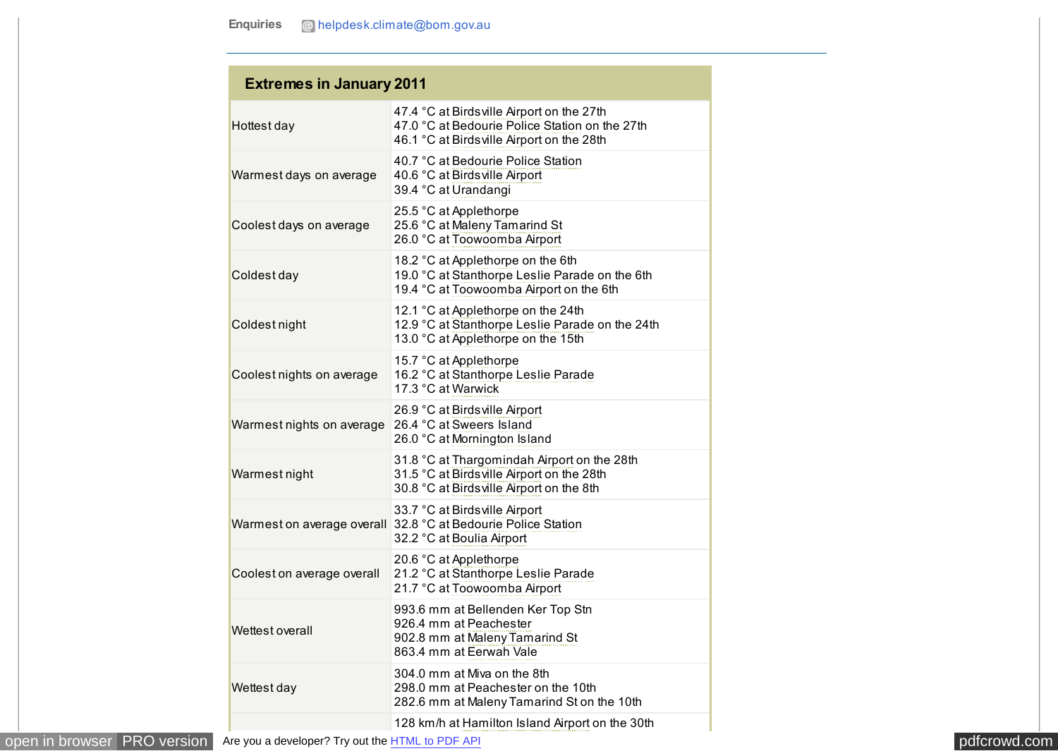# **Extremes in January 2011**

<span id="page-6-0"></span>

| Hottest day                | 47.4 °C at Birds ville Airport on the 27th<br>47.0 °C at Bedourie Police Station on the 27th<br>46.1 °C at Birds ville Airport on the 28th |
|----------------------------|--------------------------------------------------------------------------------------------------------------------------------------------|
| Warmest days on average    | 40.7 °C at Bedourie Police Station<br>40.6 °C at Birds ville Airport<br>39.4 °C at Urandangi                                               |
| Coolest days on average    | 25.5 °C at Applethorpe<br>25.6 °C at Maleny Tamarind St<br>26.0 °C at Toowoomba Airport                                                    |
| Coldest day                | 18.2 °C at Applethorpe on the 6th<br>19.0 °C at Stanthorpe Leslie Parade on the 6th<br>19.4 °C at Toowoomba Airport on the 6th             |
| Coldest night              | 12.1 °C at Applethorpe on the 24th<br>12.9 °C at Stanthorpe Leslie Parade on the 24th<br>13.0 °C at Applethorpe on the 15th                |
| Coolest nights on average  | 15.7 °C at Applethorpe<br>16.2 °C at Stanthorpe Leslie Parade<br>17.3 °C at Warwick                                                        |
| Warmest nights on average  | 26.9 °C at Birds ville Airport<br>26.4 °C at Sweers Island<br>26.0 °C at Mornington Island                                                 |
| Warmest night              | 31.8 °C at Thargomindah Airport on the 28th<br>31.5 °C at Birds ville Airport on the 28th<br>30.8 °C at Birds ville Airport on the 8th     |
| Warmest on average overall | 33.7 °C at Birds ville Airport<br>32.8 °C at Bedourie Police Station<br>32.2 °C at Boulia Airport                                          |
| Coolest on average overall | 20.6 °C at Applethorpe<br>21.2 °C at Stanthorpe Leslie Parade<br>21.7 °C at Toowoomba Airport                                              |
| Wettest overall            | 993.6 mm at Bellenden Ker Top Stn<br>926.4 mm at Peachester<br>902.8 mm at Maleny Tamarind St<br>863.4 mm at Eerwah Vale                   |
| Wettest day                | 304.0 mm at Miva on the 8th<br>298.0 mm at Peachester on the 10th<br>282.6 mm at Maleny Tamarind St on the 10th                            |
|                            | 128 km/h at Hamilton Island Airport on the 30th                                                                                            |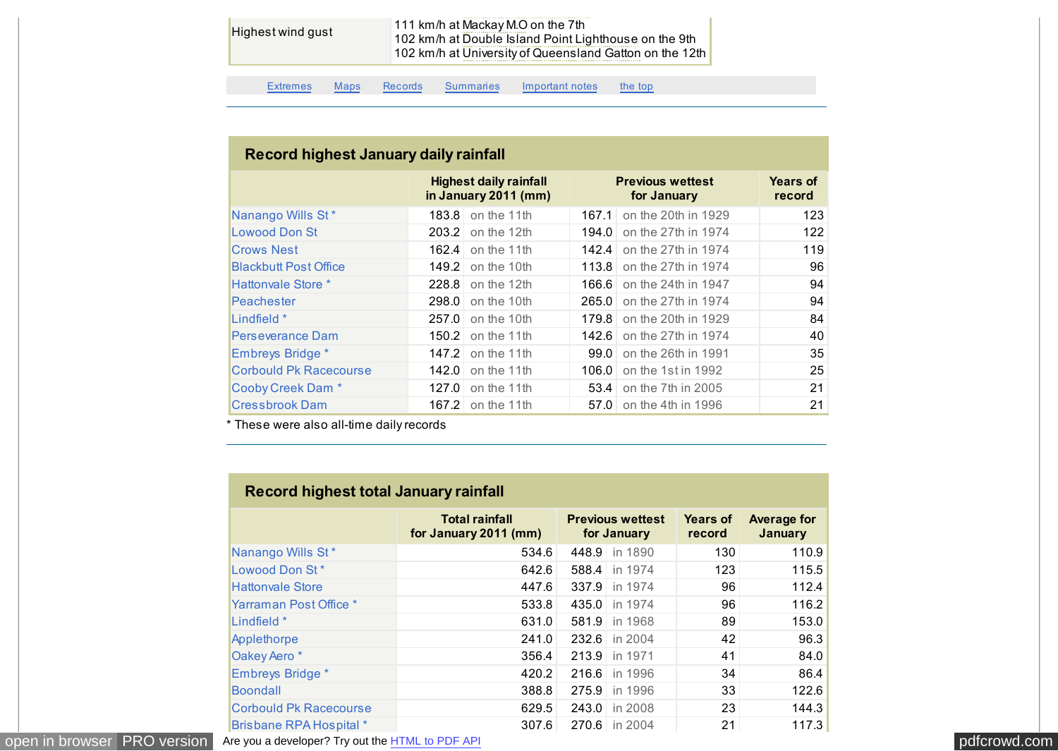<span id="page-7-0"></span>

| Highest wind gust | 111 km/h at Mackay M.O on the 7th                       |  |
|-------------------|---------------------------------------------------------|--|
|                   | 102 km/h at Double Island Point Lighthouse on the 9th   |  |
|                   | 102 km/h at University of Queensland Gatton on the 12th |  |

[Extremes](#page-6-0) [Maps](#page-0-0) Records [Summaries](#page-10-0) [Important notes](#page-14-0) [the top](#page-0-0)

| Record highest January daily rainfall |       |                                                       |       |                                        |                           |  |  |
|---------------------------------------|-------|-------------------------------------------------------|-------|----------------------------------------|---------------------------|--|--|
|                                       |       | <b>Highest daily rainfall</b><br>in January 2011 (mm) |       | <b>Previous wettest</b><br>for January | <b>Years of</b><br>record |  |  |
| Nanango Wills St*                     |       | 183.8 on the 11th                                     | 167.1 | on the 20th in 1929                    | 123                       |  |  |
| Lowood Don St                         |       | 203.2 on the 12th                                     | 194.0 | on the 27th in 1974                    | 122                       |  |  |
| <b>Crows Nest</b>                     | 162.4 | on the 11th                                           | 142.4 | on the 27th in 1974                    | 119                       |  |  |
| <b>Blackbutt Post Office</b>          | 149.2 | on the 10th                                           | 113.8 | on the 27th in 1974                    | 96                        |  |  |
| Hattonvale Store *                    | 228.8 | on the 12th                                           | 166.6 | on the 24th in 1947                    | 94                        |  |  |
| Peachester                            | 298.0 | on the 10th                                           | 265.0 | on the 27th in 1974                    | 94                        |  |  |
| Lindfield *                           | 257.0 | on the 10th                                           | 179.8 | on the 20th in 1929                    | 84                        |  |  |
| Perseverance Dam                      | 150.2 | on the 11th                                           | 142.6 | on the 27th in 1974                    | 40                        |  |  |
| Embreys Bridge *                      | 147.2 | on the 11th                                           | 99.0  | on the 26th in 1991                    | 35                        |  |  |
| Corbould Pk Racecourse                | 142.0 | on the 11th                                           | 106.0 | on the 1st in 1992                     | 25                        |  |  |
| Cooby Creek Dam*                      | 127.0 | on the 11th                                           | 53.4  | on the 7th in 2005                     | 21                        |  |  |
| <b>Cressbrook Dam</b>                 | 167.2 | on the 11th                                           | 57.0  | on the 4th in 1996                     | 21                        |  |  |

\* These were also all-time daily records

|                               | <b>Total rainfall</b><br>for January 2011 (mm) | <b>Previous wettest</b><br>for January | <b>Years of</b><br>record | <b>Average for</b><br><b>January</b> |
|-------------------------------|------------------------------------------------|----------------------------------------|---------------------------|--------------------------------------|
| Nanango Wills St*             | 534.6                                          | 448.9 in 1890                          | 130                       | 110.9                                |
| Lowood Don St*                | 642.6                                          | 588.4 in 1974                          | 123                       | 115.5                                |
| <b>Hattonvale Store</b>       | 447.6                                          | 337.9 in 1974                          | 96                        | 112.4                                |
| Yarraman Post Office *        | 533.8                                          | 435.0 in 1974                          | 96                        | 116.2                                |
| Lindfield *                   | 631.0                                          | 581.9 in 1968                          | 89                        | 153.0                                |
| Applethorpe                   | 241.0                                          | 232.6 in 2004                          | 42                        | 96.3                                 |
| Oakey Aero <sup>*</sup>       | 356.4                                          | 213.9 in 1971                          | 41                        | 84.0                                 |
| Embreys Bridge *              | 420.2                                          | 216.6 in 1996                          | 34                        | 86.4                                 |
| <b>Boondall</b>               | 388.8                                          | 275.9 in 1996                          | 33                        | 122.6                                |
| <b>Corbould Pk Racecourse</b> | 629.5                                          | 243.0 in 2008                          | 23                        | 144.3                                |
| Brisbane RPA Hospital *       | 307.6                                          | 270.6 in 2004                          | 21                        | 117.3                                |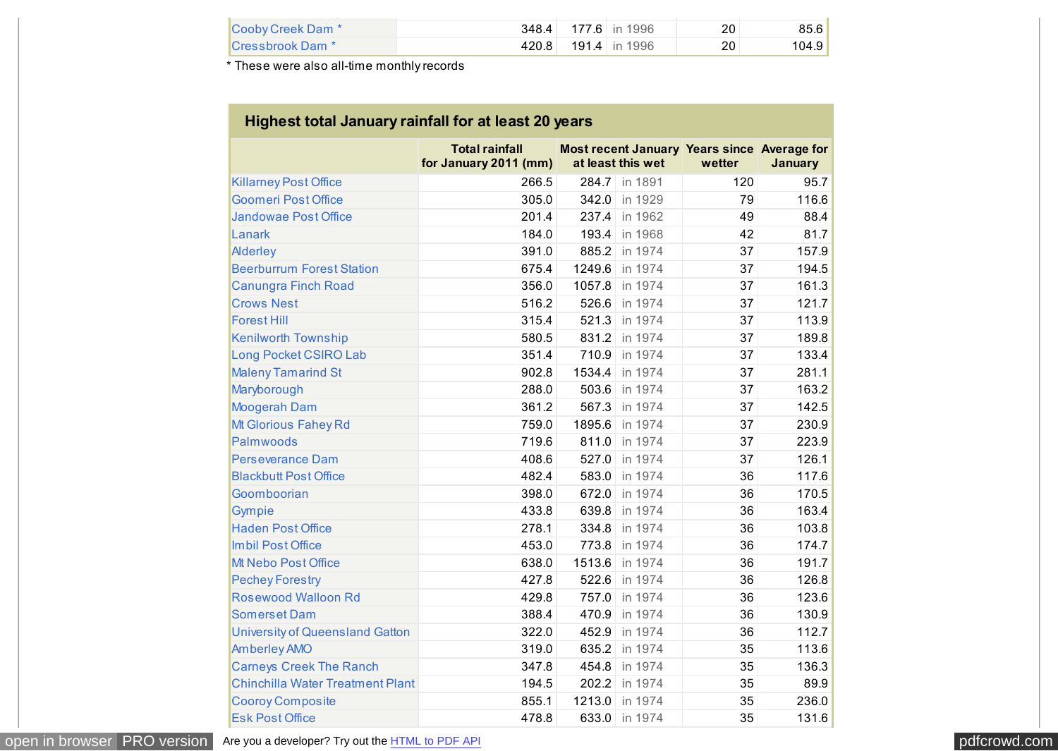<span id="page-8-0"></span>

| Cooby Creek Dam *      |       | 348.4 177.6 in 1996 | 20 | 85.6  |
|------------------------|-------|---------------------|----|-------|
| <b>Cressbrook Dam*</b> | 420.8 | 191.4 in 1996       | 20 | 104.9 |

\* These were also all-time monthly records

|                                         | <b>Total rainfall</b><br>for January 2011 (mm) |       | at least this wet | Most recent January Years since Average for<br>wetter | <b>January</b> |
|-----------------------------------------|------------------------------------------------|-------|-------------------|-------------------------------------------------------|----------------|
| <b>Killarney Post Office</b>            | 266.5                                          |       | 284.7 in 1891     | 120                                                   | 95.7           |
| <b>Goomeri Post Office</b>              | 305.0                                          |       | 342.0 in 1929     | 79                                                    | 116.6          |
| <b>Jandowae Post Office</b>             | 201.4                                          |       | 237.4 in 1962     | 49                                                    | 88.4           |
| Lanark                                  | 184.0                                          | 193.4 | in 1968           | 42                                                    | 81.7           |
| <b>Alderley</b>                         | 391.0                                          |       | 885.2 in 1974     | 37                                                    | 157.9          |
| <b>Beerburrum Forest Station</b>        | 675.4                                          |       | 1249.6 in 1974    | 37                                                    | 194.5          |
| <b>Canungra Finch Road</b>              | 356.0                                          |       | 1057.8 in 1974    | 37                                                    | 161.3          |
| <b>Crows Nest</b>                       | 516.2                                          |       | 526.6 in 1974     | 37                                                    | 121.7          |
| <b>Forest Hill</b>                      | 315.4                                          |       | 521.3 in 1974     | 37                                                    | 113.9          |
| <b>Kenilworth Township</b>              | 580.5                                          |       | 831.2 in 1974     | 37                                                    | 189.8          |
| Long Pocket CSIRO Lab                   | 351.4                                          |       | 710.9 in 1974     | 37                                                    | 133.4          |
| <b>Maleny Tamarind St</b>               | 902.8                                          |       | 1534.4 in 1974    | 37                                                    | 281.1          |
| Maryborough                             | 288.0                                          |       | 503.6 in 1974     | 37                                                    | 163.2          |
| <b>Moogerah Dam</b>                     | 361.2                                          |       | 567.3 in 1974     | 37                                                    | 142.5          |
| Mt Glorious Fahey Rd                    | 759.0                                          |       | 1895.6 in 1974    | 37                                                    | 230.9          |
| Palmwoods                               | 719.6                                          |       | 811.0 in 1974     | 37                                                    | 223.9          |
| <b>Perseverance Dam</b>                 | 408.6                                          |       | 527.0 in 1974     | 37                                                    | 126.1          |
| <b>Blackbutt Post Office</b>            | 482.4                                          |       | 583.0 in 1974     | 36                                                    | 117.6          |
| Goomboorian                             | 398.0                                          |       | 672.0 in 1974     | 36                                                    | 170.5          |
| Gympie                                  | 433.8                                          |       | 639.8 in 1974     | 36                                                    | 163.4          |
| <b>Haden Post Office</b>                | 278.1                                          |       | 334.8 in 1974     | 36                                                    | 103.8          |
| <b>Imbil Post Office</b>                | 453.0                                          |       | 773.8 in 1974     | 36                                                    | 174.7          |
| Mt Nebo Post Office                     | 638.0                                          |       | 1513.6 in 1974    | 36                                                    | 191.7          |
| <b>Pechey Forestry</b>                  | 427.8                                          |       | 522.6 in 1974     | 36                                                    | 126.8          |
| <b>Rosewood Walloon Rd</b>              | 429.8                                          |       | 757.0 in 1974     | 36                                                    | 123.6          |
| <b>Somerset Dam</b>                     | 388.4                                          | 470.9 | in 1974           | 36                                                    | 130.9          |
| <b>University of Queensland Gatton</b>  | 322.0                                          |       | 452.9 in 1974     | 36                                                    | 112.7          |
| <b>Amberley AMO</b>                     | 319.0                                          |       | 635.2 in 1974     | 35                                                    | 113.6          |
| <b>Carneys Creek The Ranch</b>          | 347.8                                          |       | 454.8 in 1974     | 35                                                    | 136.3          |
| <b>Chinchilla Water Treatment Plant</b> | 194.5                                          |       | 202.2 in 1974     | 35                                                    | 89.9           |
| <b>Cooroy Composite</b>                 | 855.1                                          |       | 1213.0 in 1974    | 35                                                    | 236.0          |
| <b>Esk Post Office</b>                  | 478.8                                          |       | 633.0 in 1974     | 35                                                    | 131.6          |

[open in browser](http://pdfcrowd.com/redirect/?url=http%3a%2f%2fwww.bom.gov.au%2fclimate%2fcurrent%2fmonth%2fqld%2farchive%2f201101.summary.shtml&id=ma-161201020542-fee5c195) [PRO version](http://pdfcrowd.com/customize/) Are you a developer? Try out the **HTML to PDF API proper and the Section** [pdfcrowd.com](http://pdfcrowd.com)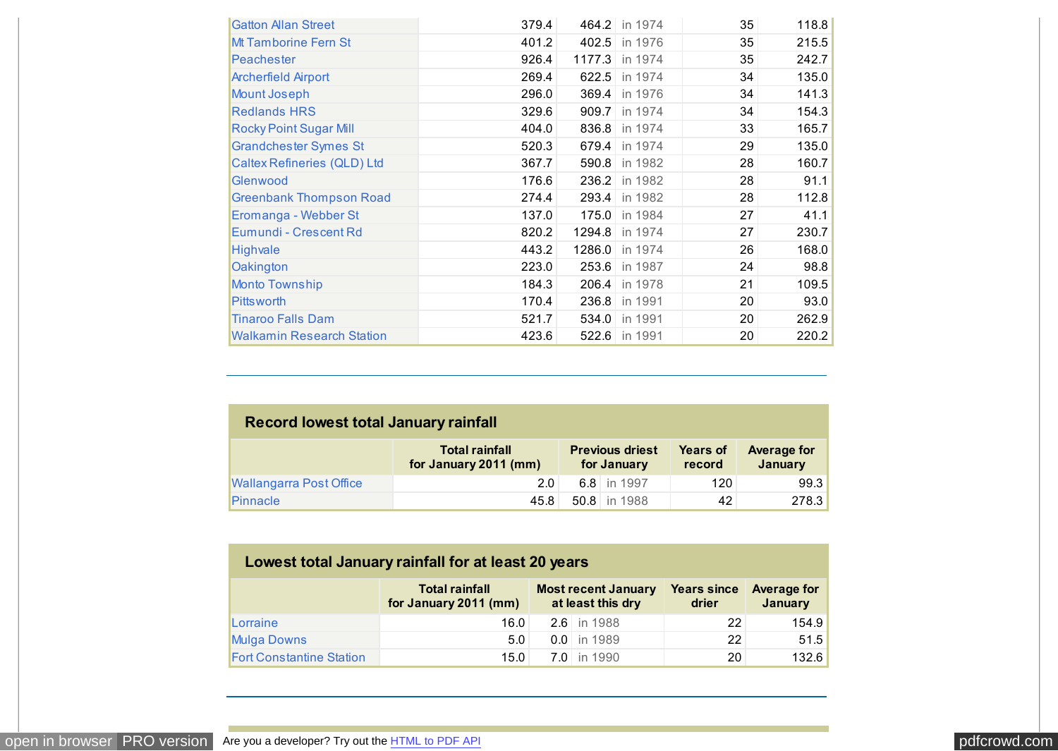<span id="page-9-0"></span>

| <b>Gatton Allan Street</b>         | 379.4 |       | 464.2 in 1974  | 35 | 118.8 |
|------------------------------------|-------|-------|----------------|----|-------|
| Mt Tamborine Fern St               | 401.2 |       | 402.5 in 1976  | 35 | 215.5 |
| Peachester                         | 926.4 |       | 1177.3 in 1974 | 35 | 242.7 |
| <b>Archerfield Airport</b>         | 269.4 |       | 622.5 in 1974  | 34 | 135.0 |
| <b>Mount Joseph</b>                | 296.0 |       | 369.4 in 1976  | 34 | 141.3 |
| <b>Redlands HRS</b>                | 329.6 |       | 909.7 in 1974  | 34 | 154.3 |
| <b>Rocky Point Sugar Mill</b>      | 404.0 |       | 836.8 in 1974  | 33 | 165.7 |
| <b>Grandchester Symes St</b>       | 520.3 |       | 679.4 in 1974  | 29 | 135.0 |
| <b>Caltex Refineries (QLD) Ltd</b> | 367.7 |       | 590.8 in 1982  | 28 | 160.7 |
| Glenwood                           | 176.6 |       | 236.2 in 1982  | 28 | 91.1  |
| <b>Greenbank Thompson Road</b>     | 274.4 |       | 293.4 in 1982  | 28 | 112.8 |
| Eromanga - Webber St               | 137.0 |       | 175.0 in 1984  | 27 | 41.1  |
| Eumundi - Crescent Rd              | 820.2 |       | 1294.8 in 1974 | 27 | 230.7 |
| <b>Highvale</b>                    | 443.2 |       | 1286.0 in 1974 | 26 | 168.0 |
| Oakington                          | 223.0 |       | 253.6 in 1987  | 24 | 98.8  |
| <b>Monto Township</b>              | 184.3 | 206.4 | in 1978        | 21 | 109.5 |
| <b>Pitts worth</b>                 | 170.4 |       | 236.8 in 1991  | 20 | 93.0  |
| <b>Tinaroo Falls Dam</b>           | 521.7 |       | 534.0 in 1991  | 20 | 262.9 |
| <b>Walkamin Research Station</b>   | 423.6 |       | 522.6 in 1991  | 20 | 220.2 |

| <b>Record lowest total January rainfall</b> |                                                |                                       |                           |                               |  |
|---------------------------------------------|------------------------------------------------|---------------------------------------|---------------------------|-------------------------------|--|
|                                             | <b>Total rainfall</b><br>for January 2011 (mm) | <b>Previous driest</b><br>for January | <b>Years of</b><br>record | <b>Average for</b><br>January |  |
| <b>Wallangarra Post Office</b>              | 2.0                                            | 6.8 in 1997                           | 120                       | 99.3                          |  |
| <b>Pinnacle</b>                             | 45.8                                           | 50.8 in 1988                          | 42                        | 278.3                         |  |

| Lowest total January rainfall for at least 20 years |                                                |                             |                               |    |       |  |  |
|-----------------------------------------------------|------------------------------------------------|-----------------------------|-------------------------------|----|-------|--|--|
|                                                     | <b>Total rainfall</b><br>for January 2011 (mm) | <b>Years since</b><br>drier | <b>Average for</b><br>January |    |       |  |  |
| Lorraine                                            | 16.0                                           |                             | $2.6$ in 1988                 | 22 | 154.9 |  |  |
| <b>Mulga Downs</b>                                  | 5.0                                            |                             | $0.0$ in 1989                 | 22 | 51.5  |  |  |
| <b>Fort Constantine Station</b>                     | 15.0                                           |                             | 7.0 in 1990                   | 20 | 132.6 |  |  |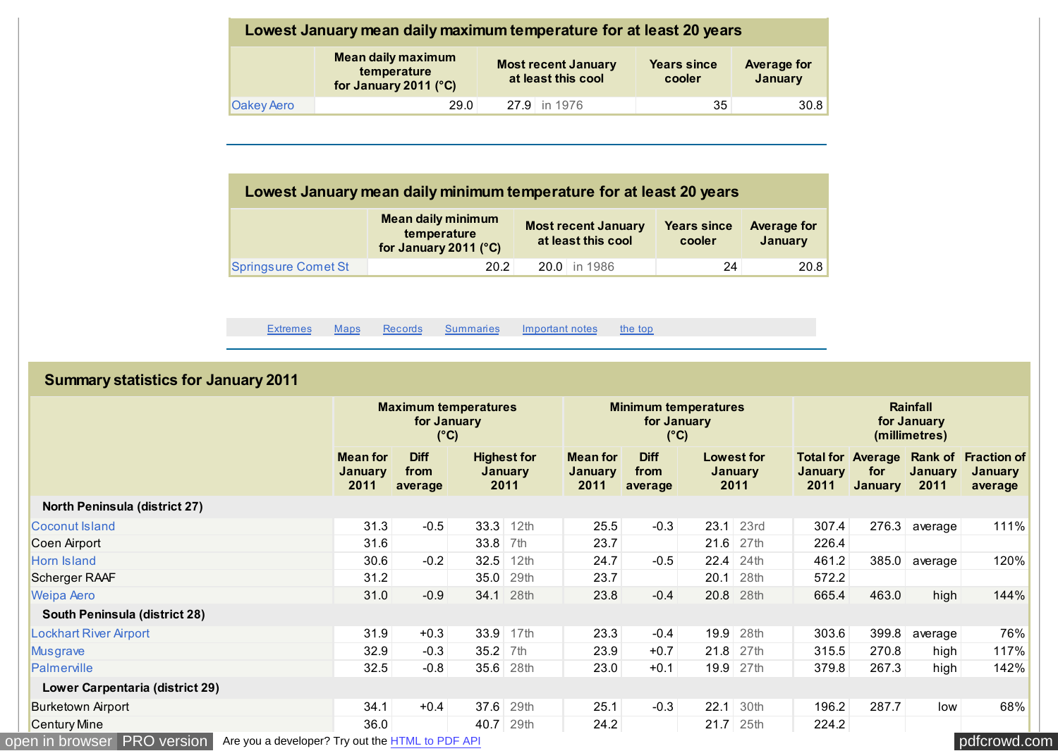<span id="page-10-0"></span>

| Lowest January mean daily maximum temperature for at least 20 years |                                                                   |                                                                                                                   |    |      |  |  |  |
|---------------------------------------------------------------------|-------------------------------------------------------------------|-------------------------------------------------------------------------------------------------------------------|----|------|--|--|--|
|                                                                     | <b>Mean daily maximum</b><br>temperature<br>for January 2011 (°C) | <b>Most recent January</b><br><b>Years since</b><br><b>Average for</b><br>January<br>at least this cool<br>cooler |    |      |  |  |  |
| <b>Oakey Aero</b>                                                   | 29.0                                                              | 27.9 in 1976                                                                                                      | 35 | 30.8 |  |  |  |

| Lowest January mean daily minimum temperature for at least 20 years |                                                                   |                                                  |                              |                               |  |  |
|---------------------------------------------------------------------|-------------------------------------------------------------------|--------------------------------------------------|------------------------------|-------------------------------|--|--|
|                                                                     | <b>Mean daily minimum</b><br>temperature<br>for January 2011 (°C) | <b>Most recent January</b><br>at least this cool | <b>Years since</b><br>cooler | <b>Average for</b><br>January |  |  |
| Springsure Comet St                                                 | 20.2                                                              | 20.0 in 1986                                     | 24                           | 20.8                          |  |  |

[Extremes](#page-6-0) [Maps](#page-0-0) [Records](#page-7-0) Summaries [Important notes](#page-14-0) [the top](#page-0-0)

| <b>Summary statistics for January 2011</b> |                                    |                                                    |            |                                                             |                                    |                                |                                          |                               |                        |                                                   |                                          |                                          |
|--------------------------------------------|------------------------------------|----------------------------------------------------|------------|-------------------------------------------------------------|------------------------------------|--------------------------------|------------------------------------------|-------------------------------|------------------------|---------------------------------------------------|------------------------------------------|------------------------------------------|
|                                            |                                    | <b>Maximum temperatures</b><br>for January<br>(°C) |            | <b>Minimum temperatures</b><br>for January<br>$(^{\circ}C)$ |                                    |                                | Rainfall<br>for January<br>(millimetres) |                               |                        |                                                   |                                          |                                          |
|                                            | <b>Mean for</b><br>January<br>2011 | <b>Diff</b><br>from<br>average                     |            | <b>Highest for</b><br><b>January</b><br>2011                | <b>Mean for</b><br>January<br>2011 | <b>Diff</b><br>from<br>average |                                          | Lowest for<br>January<br>2011 | <b>January</b><br>2011 | <b>Total for Average</b><br>for<br><b>January</b> | <b>Rank of</b><br><b>January</b><br>2011 | <b>Fraction of</b><br>January<br>average |
| <b>North Peninsula (district 27)</b>       |                                    |                                                    |            |                                                             |                                    |                                |                                          |                               |                        |                                                   |                                          |                                          |
| Coconut Island                             | 31.3                               | $-0.5$                                             | 33.3       | 12th                                                        | 25.5                               | $-0.3$                         | 23.1                                     | 23rd                          | 307.4                  | 276.3                                             | average                                  | 111%                                     |
| Coen Airport                               | 31.6                               |                                                    | $33.8$ 7th |                                                             | 23.7                               |                                |                                          | 21.6 27th                     | 226.4                  |                                                   |                                          |                                          |
| <b>Horn Island</b>                         | 30.6                               | $-0.2$                                             | 32.5       | 12th                                                        | 24.7                               | $-0.5$                         | 22.4                                     | 24th                          | 461.2                  | 385.0                                             | average                                  | 120%                                     |
| Scherger RAAF                              | 31.2                               |                                                    | 35.0       | 29th                                                        | 23.7                               |                                | 20.1                                     | 28th                          | 572.2                  |                                                   |                                          |                                          |
| <b>Weipa Aero</b>                          | 31.0                               | $-0.9$                                             | 34.1       | 28th                                                        | 23.8                               | $-0.4$                         | 20.8                                     | 28th                          | 665.4                  | 463.0                                             | high                                     | 144%                                     |
| <b>South Peninsula (district 28)</b>       |                                    |                                                    |            |                                                             |                                    |                                |                                          |                               |                        |                                                   |                                          |                                          |
| <b>Lockhart River Airport</b>              | 31.9                               | $+0.3$                                             | 33.9       | 17th                                                        | 23.3                               | $-0.4$                         | 19.9                                     | 28th                          | 303.6                  | 399.8                                             | average                                  | 76%                                      |
| Musgrave                                   | 32.9                               | $-0.3$                                             | $35.2$ 7th |                                                             | 23.9                               | $+0.7$                         |                                          | 21.8 27th                     | 315.5                  | 270.8                                             | high                                     | 117%                                     |
| Palmerville                                | 32.5                               | $-0.8$                                             | 35.6       | 28th                                                        | 23.0                               | $+0.1$                         |                                          | 19.9 27th                     | 379.8                  | 267.3                                             | high                                     | 142%                                     |
| <b>Lower Carpentaria (district 29)</b>     |                                    |                                                    |            |                                                             |                                    |                                |                                          |                               |                        |                                                   |                                          |                                          |
| <b>Burketown Airport</b>                   | 34.1                               | $+0.4$                                             | 37.6       | 29th                                                        | 25.1                               | $-0.3$                         | 22.1                                     | 30th                          | 196.2                  | 287.7                                             | low                                      | 68%                                      |
| <b>Century Mine</b>                        | 36.0                               |                                                    | 40.7       | 29th                                                        | 24.2                               |                                |                                          | $21.7$ 25th                   | 224.2                  |                                                   |                                          |                                          |

[open in browser](http://pdfcrowd.com/redirect/?url=http%3a%2f%2fwww.bom.gov.au%2fclimate%2fcurrent%2fmonth%2fqld%2farchive%2f201101.summary.shtml&id=ma-161201020542-fee5c195) [PRO version](http://pdfcrowd.com/customize/) Are you a developer? Try out the **HTML to PDF API** [pdfcrowd.com](http://pdfcrowd.com)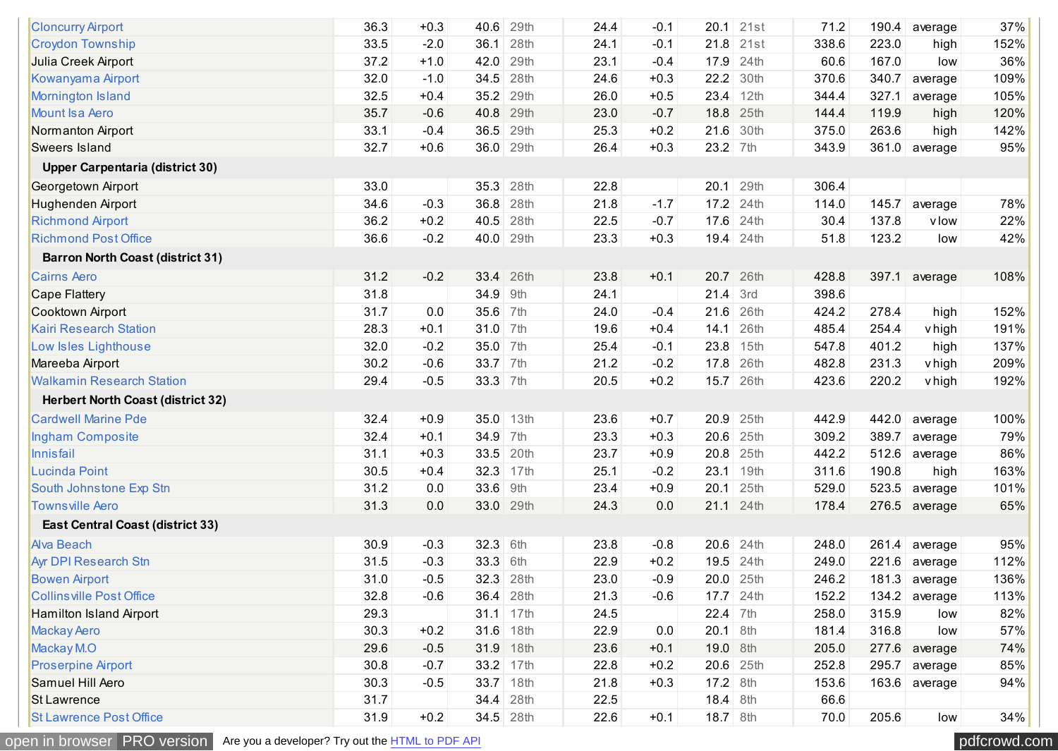| <b>Cloncurry Airport</b>                 | 36.3 | $+0.3$ | 40.6       | 29th        | 24.4 | $-0.1$ | 20.1       | 21st        | 71.2  | 190.4 | average         | 37%  |
|------------------------------------------|------|--------|------------|-------------|------|--------|------------|-------------|-------|-------|-----------------|------|
| <b>Croydon Township</b>                  | 33.5 | $-2.0$ | 36.1       | 28th        | 24.1 | $-0.1$ |            | $21.8$ 21st | 338.6 | 223.0 | high            | 152% |
| Julia Creek Airport                      | 37.2 | $+1.0$ | 42.0       | 29th        | 23.1 | $-0.4$ | 17.9       | 24th        | 60.6  | 167.0 | low             | 36%  |
| Kowanyama Airport                        | 32.0 | $-1.0$ | 34.5       | 28th        | 24.6 | $+0.3$ | 22.2       | 30th        | 370.6 | 340.7 | average         | 109% |
| Mornington Island                        | 32.5 | $+0.4$ |            | 35.2 29th   | 26.0 | $+0.5$ | 23.4       | 12th        | 344.4 | 327.1 | average         | 105% |
| <b>Mount Isa Aero</b>                    | 35.7 | $-0.6$ | 40.8       | 29th        | 23.0 | $-0.7$ | 18.8       | 25th        | 144.4 | 119.9 | high            | 120% |
| Normanton Airport                        | 33.1 | $-0.4$ | 36.5       | 29th        | 25.3 | $+0.2$ | 21.6       | 30th        | 375.0 | 263.6 | high            | 142% |
| Sweers Island                            | 32.7 | $+0.6$ |            | 36.0 29th   | 26.4 | $+0.3$ | $23.2$ 7th |             | 343.9 |       | 361.0 average   | 95%  |
| <b>Upper Carpentaria (district 30)</b>   |      |        |            |             |      |        |            |             |       |       |                 |      |
| Georgetown Airport                       | 33.0 |        | 35.3       | 28th        | 22.8 |        |            | 20.1 29th   | 306.4 |       |                 |      |
| Hughenden Airport                        | 34.6 | $-0.3$ | 36.8       | 28th        | 21.8 | $-1.7$ | $17.2$     | 24th        | 114.0 | 145.7 | average         | 78%  |
| <b>Richmond Airport</b>                  | 36.2 | $+0.2$ | 40.5       | 28th        | 22.5 | $-0.7$ |            | 17.6 24th   | 30.4  | 137.8 | vlow            | 22%  |
| <b>Richmond Post Office</b>              | 36.6 | $-0.2$ |            | 40.0 29th   | 23.3 | $+0.3$ |            | 19.4 24th   | 51.8  | 123.2 | low             | 42%  |
| <b>Barron North Coast (district 31)</b>  |      |        |            |             |      |        |            |             |       |       |                 |      |
| <b>Cairns Aero</b>                       | 31.2 | $-0.2$ |            | 33.4 26th   | 23.8 | $+0.1$ |            | 20.7 26th   | 428.8 | 397.1 | average         | 108% |
| Cape Flattery                            | 31.8 |        | 34.9       | 9th         | 24.1 |        | 21.4       | 3rd         | 398.6 |       |                 |      |
| Cooktown Airport                         | 31.7 | 0.0    | 35.6       | 7th         | 24.0 | $-0.4$ | 21.6       | 26th        | 424.2 | 278.4 | high            | 152% |
| <b>Kairi Research Station</b>            | 28.3 | $+0.1$ | $31.0$ 7th |             | 19.6 | $+0.4$ | 14.1       | 26th        | 485.4 | 254.4 | vhigh           | 191% |
| Low Isles Lighthouse                     | 32.0 | $-0.2$ | 35.0       | 7th         | 25.4 | $-0.1$ | 23.8       | 15th        | 547.8 | 401.2 | high            | 137% |
| Mareeba Airport                          | 30.2 | $-0.6$ | 33.7       | 7th         | 21.2 | $-0.2$ | 17.8       | 26th        | 482.8 | 231.3 | vhigh           | 209% |
| <b>Walkamin Research Station</b>         | 29.4 | $-0.5$ | $33.3$ 7th |             | 20.5 | $+0.2$ |            | 15.7 26th   | 423.6 | 220.2 | vhigh           | 192% |
| <b>Herbert North Coast (district 32)</b> |      |        |            |             |      |        |            |             |       |       |                 |      |
| <b>Cardwell Marine Pde</b>               | 32.4 | $+0.9$ | 35.0       | 13th        | 23.6 | $+0.7$ |            | 20.9 25th   | 442.9 | 442.0 | average         | 100% |
| Ingham Composite                         | 32.4 | $+0.1$ | 34.9       | 7th         | 23.3 | $+0.3$ | 20.6       | 25th        | 309.2 | 389.7 | average         | 79%  |
| Innisfail                                | 31.1 | $+0.3$ | 33.5       | 20th        | 23.7 | $+0.9$ |            | 20.8 25th   | 442.2 | 512.6 | average         | 86%  |
| Lucinda Point                            | 30.5 | $+0.4$ | 32.3       | 17th        | 25.1 | $-0.2$ | 23.1       | 19th        | 311.6 | 190.8 | high            | 163% |
| South Johnstone Exp Stn                  | 31.2 | 0.0    | 33.6       | 9th         | 23.4 | $+0.9$ | 20.1       | 25th        | 529.0 | 523.5 | average         | 101% |
| <b>Townsville Aero</b>                   | 31.3 | 0.0    | 33.0       | 29th        | 24.3 | 0.0    |            | 21.1 24th   | 178.4 |       | 276.5 average   | 65%  |
| <b>East Central Coast (district 33)</b>  |      |        |            |             |      |        |            |             |       |       |                 |      |
| <b>Alva Beach</b>                        | 30.9 | $-0.3$ | 32.3       | 6th         | 23.8 | $-0.8$ |            | 20.6 24th   | 248.0 | 261.4 | average         | 95%  |
| <b>Ayr DPI Research Stn</b>              | 31.5 | $-0.3$ | 33.3       | 6th         | 22.9 | $+0.2$ |            | 19.5 24th   | 249.0 | 221.6 | average         | 112% |
| <b>Bowen Airport</b>                     | 31.0 | $-0.5$ | 32.3       | 28th        | 23.0 | $-0.9$ |            | 20.0 25th   | 246.2 |       | $181.3$ average | 136% |
| <b>Collins ville Post Office</b>         | 32.8 | $-0.6$ |            | 36.4 28th   | 21.3 | $-0.6$ |            | 17.7 24th   | 152.2 |       | $134.2$ average | 113% |
| <b>Hamilton Island Airport</b>           | 29.3 |        |            | $31.1$ 17th | 24.5 |        | $22.4$ 7th |             | 258.0 | 315.9 | low             | 82%  |
| <b>Mackay Aero</b>                       | 30.3 | $+0.2$ |            | 31.6 18th   | 22.9 | 0.0    | $20.1$ 8th |             | 181.4 | 316.8 | low             | 57%  |
| Mackay M.O                               | 29.6 | $-0.5$ | 31.9       | 18th        | 23.6 | $+0.1$ | 19.0 8th   |             | 205.0 | 277.6 | average         | 74%  |
| <b>Proserpine Airport</b>                | 30.8 | $-0.7$ | 33.2       | 17th        | 22.8 | $+0.2$ |            | 20.6 25th   | 252.8 | 295.7 | average         | 85%  |
| Samuel Hill Aero                         | 30.3 | $-0.5$ |            | 33.7 18th   | 21.8 | $+0.3$ | $17.2$ 8th |             | 153.6 |       | 163.6 average   | 94%  |
| <b>St Lawrence</b>                       | 31.7 |        | 34.4       | 28th        | 22.5 |        | $18.4$ 8th |             | 66.6  |       |                 |      |
| <b>St Lawrence Post Office</b>           | 31.9 | $+0.2$ |            | 34.5 28th   | 22.6 | $+0.1$ | $18.7$ 8th |             | 70.0  | 205.6 | low             | 34%  |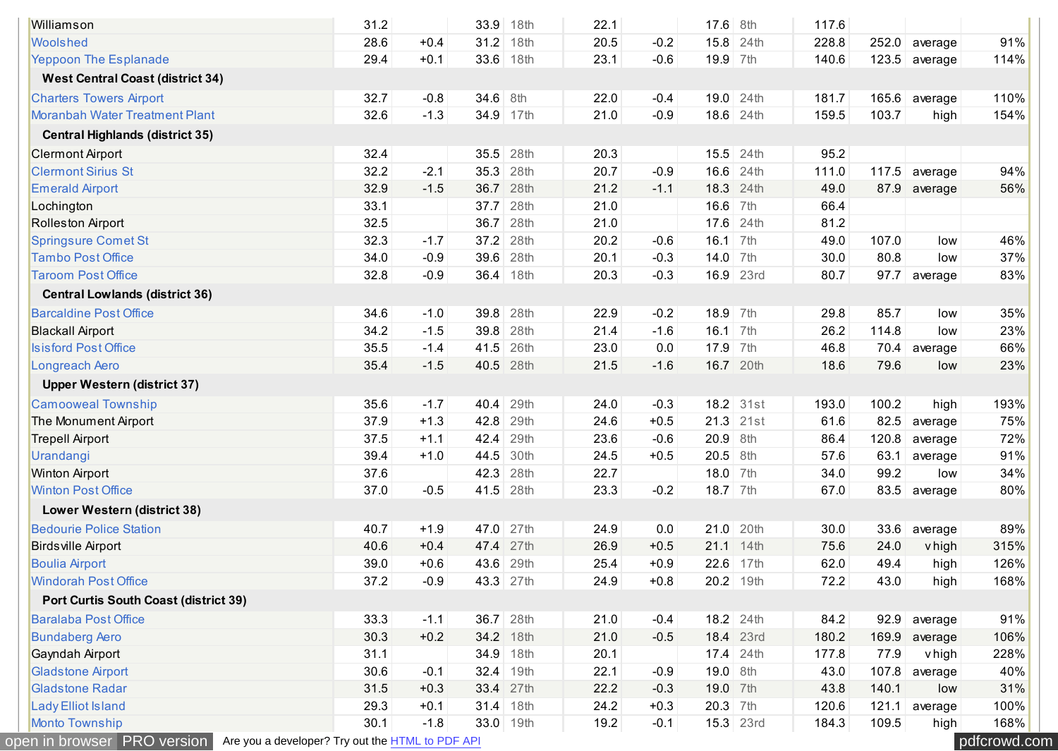| Williamson                              | 31.2 |        | 33.9 | 18th        | 22.1 |        | 17.6       | 8th         | 117.6 |       |                 |      |
|-----------------------------------------|------|--------|------|-------------|------|--------|------------|-------------|-------|-------|-----------------|------|
| Woolshed                                | 28.6 | $+0.4$ | 31.2 | 18th        | 20.5 | $-0.2$ | 15.8       | 24th        | 228.8 |       | 252.0 average   | 91%  |
| <b>Yeppoon The Esplanade</b>            | 29.4 | $+0.1$ | 33.6 | 18th        | 23.1 | $-0.6$ | 19.9 7th   |             | 140.6 |       | $123.5$ average | 114% |
| <b>West Central Coast (district 34)</b> |      |        |      |             |      |        |            |             |       |       |                 |      |
| <b>Charters Towers Airport</b>          | 32.7 | $-0.8$ | 34.6 | 8th         | 22.0 | $-0.4$ | 19.0       | 24th        | 181.7 | 165.6 | average         | 110% |
| <b>Moranbah Water Treatment Plant</b>   | 32.6 | $-1.3$ | 34.9 | 17th        | 21.0 | $-0.9$ |            | 18.6 24th   | 159.5 | 103.7 | high            | 154% |
| <b>Central Highlands (district 35)</b>  |      |        |      |             |      |        |            |             |       |       |                 |      |
| <b>Clermont Airport</b>                 | 32.4 |        |      | 35.5 28th   | 20.3 |        |            | 15.5 24th   | 95.2  |       |                 |      |
| <b>Clermont Sirius St</b>               | 32.2 | $-2.1$ | 35.3 | 28th        | 20.7 | $-0.9$ | 16.6       | 24th        | 111.0 | 117.5 | average         | 94%  |
| <b>Emerald Airport</b>                  | 32.9 | $-1.5$ | 36.7 | 28th        | 21.2 | $-1.1$ | 18.3       | 24th        | 49.0  |       | 87.9 average    | 56%  |
| Lochington                              | 33.1 |        | 37.7 | 28th        | 21.0 |        | 16.6       | 7th         | 66.4  |       |                 |      |
| <b>Rolleston Airport</b>                | 32.5 |        | 36.7 | 28th        | 21.0 |        |            | 17.6 24th   | 81.2  |       |                 |      |
| <b>Springsure Comet St</b>              | 32.3 | $-1.7$ | 37.2 | 28th        | 20.2 | $-0.6$ | 16.1       | 7th         | 49.0  | 107.0 | low             | 46%  |
| <b>Tambo Post Office</b>                | 34.0 | $-0.9$ | 39.6 | 28th        | 20.1 | $-0.3$ | 14.0       | 7th         | 30.0  | 80.8  | low             | 37%  |
| <b>Taroom Post Office</b>               | 32.8 | $-0.9$ | 36.4 | 18th        | 20.3 | $-0.3$ |            | 16.9 23rd   | 80.7  | 97.7  | average         | 83%  |
| <b>Central Lowlands (district 36)</b>   |      |        |      |             |      |        |            |             |       |       |                 |      |
| <b>Barcaldine Post Office</b>           | 34.6 | $-1.0$ |      | 39.8 28th   | 22.9 | $-0.2$ | $18.9$ 7th |             | 29.8  | 85.7  | low             | 35%  |
| <b>Blackall Airport</b>                 | 34.2 | $-1.5$ | 39.8 | 28th        | 21.4 | $-1.6$ | 16.1       | 7th         | 26.2  | 114.8 | low             | 23%  |
| <b>Isisford Post Office</b>             | 35.5 | $-1.4$ | 41.5 | 26th        | 23.0 | 0.0    | 17.9       | 7th         | 46.8  | 70.4  | average         | 66%  |
| Longreach Aero                          | 35.4 | $-1.5$ | 40.5 | 28th        | 21.5 | $-1.6$ |            | 16.7 20th   | 18.6  | 79.6  | low             | 23%  |
| <b>Upper Western (district 37)</b>      |      |        |      |             |      |        |            |             |       |       |                 |      |
| <b>Camooweal Township</b>               | 35.6 | $-1.7$ | 40.4 | 29th        | 24.0 | $-0.3$ |            | 18.2 31st   | 193.0 | 100.2 | high            | 193% |
| The Monument Airport                    | 37.9 | $+1.3$ | 42.8 | 29th        | 24.6 | $+0.5$ | 21.3       | 21st        | 61.6  | 82.5  | average         | 75%  |
| <b>Trepell Airport</b>                  | 37.5 | $+1.1$ | 42.4 | 29th        | 23.6 | $-0.6$ | $20.9$ 8th |             | 86.4  | 120.8 | average         | 72%  |
| Urandangi                               | 39.4 | $+1.0$ | 44.5 | 30th        | 24.5 | $+0.5$ | $20.5$ 8th |             | 57.6  | 63.1  | average         | 91%  |
| <b>Winton Airport</b>                   | 37.6 |        | 42.3 | 28th        | 22.7 |        | 18.0 7th   |             | 34.0  | 99.2  | low             | 34%  |
| <b>Winton Post Office</b>               | 37.0 | $-0.5$ | 41.5 | 28th        | 23.3 | $-0.2$ | 18.7 7th   |             | 67.0  |       | 83.5 average    | 80%  |
| Lower Western (district 38)             |      |        |      |             |      |        |            |             |       |       |                 |      |
| <b>Bedourie Police Station</b>          | 40.7 | $+1.9$ | 47.0 | 27th        | 24.9 | 0.0    | 21.0       | 20th        | 30.0  | 33.6  | average         | 89%  |
| <b>Birds ville Airport</b>              | 40.6 | $+0.4$ | 47.4 | 27th        | 26.9 | $+0.5$ |            | 21.1 14th   | 75.6  | 24.0  | v high          | 315% |
| <b>Boulia Airport</b>                   | 39.0 | $+0.6$ | 43.6 | 29th        | 25.4 | $+0.9$ | 22.6       | 17th        | 62.0  | 49.4  | high            | 126% |
| <b>Windorah Post Office</b>             | 37.2 | $-0.9$ |      | 43.3 27th   | 24.9 | $+0.8$ |            | 20.2 19th   | 72.2  | 43.0  | high            | 168% |
| Port Curtis South Coast (district 39)   |      |        |      |             |      |        |            |             |       |       |                 |      |
| <b>Baralaba Post Office</b>             | 33.3 | $-1.1$ |      | 36.7 28th   | 21.0 | $-0.4$ |            | 18.2 24th   | 84.2  | 92.9  | average         | 91%  |
| <b>Bundaberg Aero</b>                   | 30.3 | $+0.2$ |      | 34.2 18th   | 21.0 | $-0.5$ |            | 18.4 23rd   | 180.2 | 169.9 | average         | 106% |
| Gayndah Airport                         | 31.1 |        | 34.9 | 18th        | 20.1 |        |            | $17.4$ 24th | 177.8 | 77.9  | <b>v</b> high   | 228% |
| <b>Gladstone Airport</b>                | 30.6 | $-0.1$ | 32.4 | 19th        | 22.1 | $-0.9$ | $19.0$ 8th |             | 43.0  | 107.8 | average         | 40%  |
| <b>Gladstone Radar</b>                  | 31.5 | $+0.3$ |      | 33.4 27th   | 22.2 | $-0.3$ | 19.0 7th   |             | 43.8  | 140.1 | low             | 31%  |
| <b>Lady Elliot Island</b>               | 29.3 | $+0.1$ | 31.4 | 18th        | 24.2 | $+0.3$ | $20.3$ 7th |             | 120.6 | 121.1 | average         | 100% |
| <b>Monto Township</b>                   | 30.1 | $-1.8$ |      | $33.0$ 19th | 19.2 | $-0.1$ |            | $15.3$ 23rd | 184.3 | 109.5 | high            | 168% |

[open in browser](http://pdfcrowd.com/redirect/?url=http%3a%2f%2fwww.bom.gov.au%2fclimate%2fcurrent%2fmonth%2fqld%2farchive%2f201101.summary.shtml&id=ma-161201020542-fee5c195) [PRO version](http://pdfcrowd.com/customize/) Are you a developer? Try out the **HTML to PDF API proper and the Section** [pdfcrowd.com](http://pdfcrowd.com)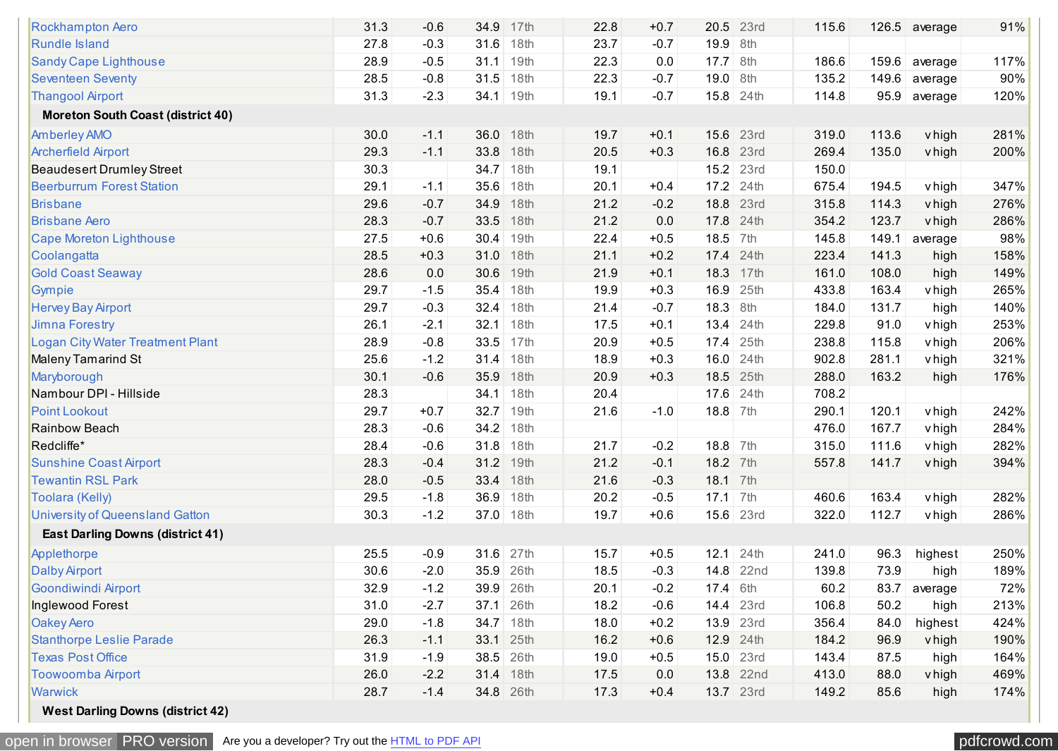| <b>Rockhampton Aero</b>                  | 31.3 | $-0.6$ | 34.9      | 17th | 22.8 | $+0.7$ |            | 20.5 23rd   | 115.6 |       | 126.5 average | 91%  |
|------------------------------------------|------|--------|-----------|------|------|--------|------------|-------------|-------|-------|---------------|------|
| <b>Rundle Island</b>                     | 27.8 | $-0.3$ | 31.6      | 18th | 23.7 | $-0.7$ | 19.9 8th   |             |       |       |               |      |
| <b>Sandy Cape Lighthouse</b>             | 28.9 | $-0.5$ | 31.1      | 19th | 22.3 | 0.0    | $17.7$ 8th |             | 186.6 | 159.6 | average       | 117% |
| <b>Seventeen Seventy</b>                 | 28.5 | $-0.8$ | 31.5      | 18th | 22.3 | $-0.7$ | $19.0$ 8th |             | 135.2 | 149.6 | average       | 90%  |
| <b>Thangool Airport</b>                  | 31.3 | $-2.3$ | 34.1 19th |      | 19.1 | $-0.7$ |            | 15.8 24th   | 114.8 | 95.9  | average       | 120% |
| <b>Moreton South Coast (district 40)</b> |      |        |           |      |      |        |            |             |       |       |               |      |
| Amberley AMO                             | 30.0 | $-1.1$ | 36.0 18th |      | 19.7 | $+0.1$ |            | 15.6 23rd   | 319.0 | 113.6 | vhigh         | 281% |
| <b>Archerfield Airport</b>               | 29.3 | $-1.1$ | 33.8      | 18th | 20.5 | $+0.3$ | 16.8       | 23rd        | 269.4 | 135.0 | vhigh         | 200% |
| <b>Beaudesert Drumley Street</b>         | 30.3 |        | 34.7      | 18th | 19.1 |        | 15.2       | 23rd        | 150.0 |       |               |      |
| <b>Beerburrum Forest Station</b>         | 29.1 | $-1.1$ | 35.6      | 18th | 20.1 | $+0.4$ |            | 17.2 24th   | 675.4 | 194.5 | vhigh         | 347% |
| <b>Brisbane</b>                          | 29.6 | $-0.7$ | 34.9      | 18th | 21.2 | $-0.2$ | 18.8       | 23rd        | 315.8 | 114.3 | vhigh         | 276% |
| <b>Brisbane Aero</b>                     | 28.3 | $-0.7$ | 33.5      | 18th | 21.2 | 0.0    |            | 17.8 24th   | 354.2 | 123.7 | vhigh         | 286% |
| Cape Moreton Lighthouse                  | 27.5 | $+0.6$ | 30.4      | 19th | 22.4 | $+0.5$ | 18.5 7th   |             | 145.8 | 149.1 | average       | 98%  |
| Coolangatta                              | 28.5 | $+0.3$ | 31.0      | 18th | 21.1 | $+0.2$ |            | 17.4 24th   | 223.4 | 141.3 | high          | 158% |
| <b>Gold Coast Seaway</b>                 | 28.6 | 0.0    | 30.6      | 19th | 21.9 | $+0.1$ | 18.3       | 17th        | 161.0 | 108.0 | high          | 149% |
| Gympie                                   | 29.7 | $-1.5$ | 35.4      | 18th | 19.9 | $+0.3$ | 16.9       | 25th        | 433.8 | 163.4 | v high        | 265% |
| <b>Hervey Bay Airport</b>                | 29.7 | $-0.3$ | 32.4      | 18th | 21.4 | $-0.7$ | 18.3 8th   |             | 184.0 | 131.7 | high          | 140% |
| Jimna Forestry                           | 26.1 | $-2.1$ | 32.1      | 18th | 17.5 | $+0.1$ | 13.4       | 24th        | 229.8 | 91.0  | vhigh         | 253% |
| <b>Logan City Water Treatment Plant</b>  | 28.9 | $-0.8$ | 33.5      | 17th | 20.9 | $+0.5$ | 17.4       | 25th        | 238.8 | 115.8 | vhigh         | 206% |
| <b>Maleny Tamarind St</b>                | 25.6 | $-1.2$ | 31.4      | 18th | 18.9 | $+0.3$ |            | 16.0 24th   | 902.8 | 281.1 | vhigh         | 321% |
| Maryborough                              | 30.1 | $-0.6$ | 35.9      | 18th | 20.9 | $+0.3$ | 18.5       | 25th        | 288.0 | 163.2 | high          | 176% |
| Nambour DPI - Hillside                   | 28.3 |        | 34.1      | 18th | 20.4 |        | 17.6       | 24th        | 708.2 |       |               |      |
| <b>Point Lookout</b>                     | 29.7 | $+0.7$ | 32.7      | 19th | 21.6 | $-1.0$ | 18.8 7th   |             | 290.1 | 120.1 | vhigh         | 242% |
| <b>Rainbow Beach</b>                     | 28.3 | $-0.6$ | 34.2      | 18th |      |        |            |             | 476.0 | 167.7 | <b>v</b> high | 284% |
| Redcliffe*                               | 28.4 | $-0.6$ | 31.8      | 18th | 21.7 | $-0.2$ | 18.8 7th   |             | 315.0 | 111.6 | vhigh         | 282% |
| <b>Sunshine Coast Airport</b>            | 28.3 | $-0.4$ | 31.2      | 19th | 21.2 | $-0.1$ | 18.2 7th   |             | 557.8 | 141.7 | vhigh         | 394% |
| <b>Tewantin RSL Park</b>                 | 28.0 | $-0.5$ | 33.4      | 18th | 21.6 | $-0.3$ | 18.1 7th   |             |       |       |               |      |
| <b>Toolara (Kelly)</b>                   | 29.5 | $-1.8$ | 36.9      | 18th | 20.2 | $-0.5$ | $17.1$ 7th |             | 460.6 | 163.4 | vhigh         | 282% |
| <b>University of Queensland Gatton</b>   | 30.3 | $-1.2$ | 37.0 18th |      | 19.7 | $+0.6$ |            | 15.6 23rd   | 322.0 | 112.7 | vhigh         | 286% |
| <b>East Darling Downs (district 41)</b>  |      |        |           |      |      |        |            |             |       |       |               |      |
| Applethorpe                              | 25.5 | $-0.9$ | 31.6      | 27th | 15.7 | $+0.5$ | 12.1       | 24th        | 241.0 | 96.3  | highest       | 250% |
| <b>Dalby Airport</b>                     | 30.6 | $-2.0$ | 35.9 26th |      | 18.5 | $-0.3$ |            | 14.8 22nd   | 139.8 | 73.9  | high          | 189% |
| Goondiwindi Airport                      | 32.9 | $-1.2$ | 39.9      | 26th | 20.1 | $-0.2$ | 17.4 6th   |             | 60.2  | 83.7  | average       | 72%  |
| Inglewood Forest                         | 31.0 | $-2.7$ | 37.1      | 26th | 18.2 | $-0.6$ |            | $14.4$ 23rd | 106.8 | 50.2  | high          | 213% |
| Oakey Aero                               | 29.0 | $-1.8$ | 34.7 18th |      | 18.0 | $+0.2$ |            | 13.9 23rd   | 356.4 | 84.0  | highest       | 424% |
| <b>Stanthorpe Leslie Parade</b>          | 26.3 | $-1.1$ | 33.1      | 25th | 16.2 | $+0.6$ |            | 12.9 24th   | 184.2 | 96.9  | vhigh         | 190% |
| <b>Texas Post Office</b>                 | 31.9 | $-1.9$ | 38.5      | 26th | 19.0 | $+0.5$ |            | $15.0$ 23rd | 143.4 | 87.5  | high          | 164% |
| <b>Toowoomba Airport</b>                 | 26.0 | $-2.2$ | 31.4 18th |      | 17.5 | 0.0    |            | 13.8 22nd   | 413.0 | 88.0  | v high        | 469% |
| <b>Warwick</b>                           | 28.7 | $-1.4$ | 34.8 26th |      | 17.3 | $+0.4$ |            | 13.7 23rd   | 149.2 | 85.6  | high          | 174% |
|                                          |      |        |           |      |      |        |            |             |       |       |               |      |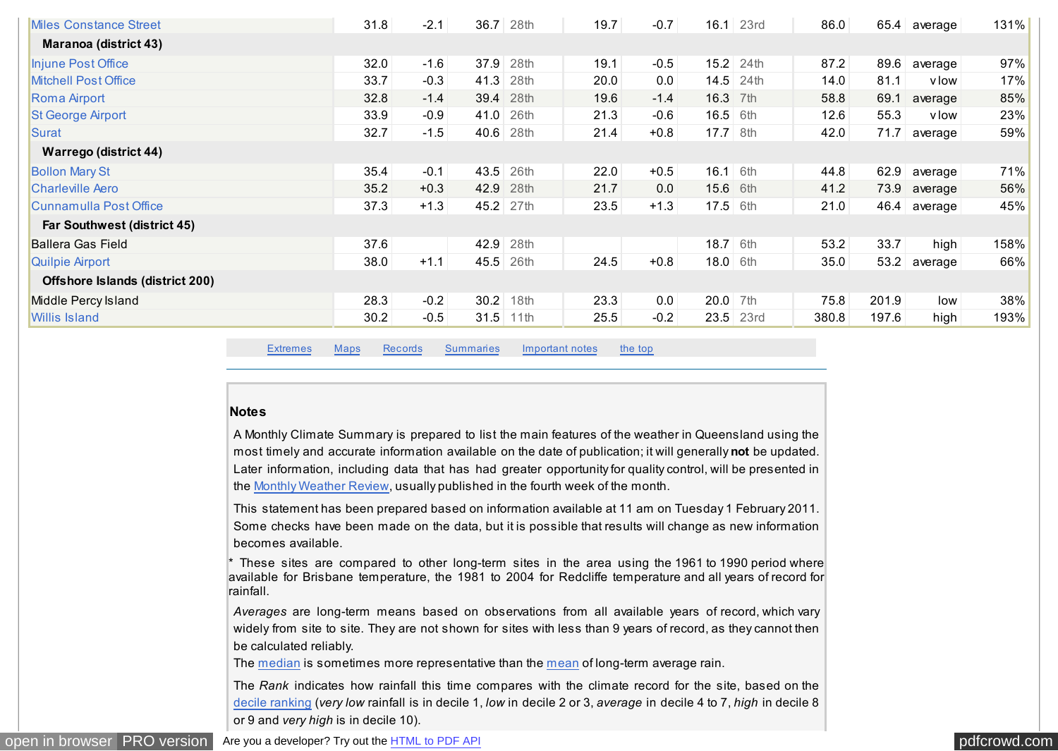<span id="page-14-0"></span>

| <b>Miles Constance Street</b>   | 31.8 | $-2.1$ | 36.7 | 28th             | 19.7 | $-0.7$ |            | $16.1$ 23rd | 86.0  |       | 65.4 average | 131% |
|---------------------------------|------|--------|------|------------------|------|--------|------------|-------------|-------|-------|--------------|------|
| Maranoa (district 43)           |      |        |      |                  |      |        |            |             |       |       |              |      |
| Injune Post Office              | 32.0 | $-1.6$ | 37.9 | 28th             | 19.1 | $-0.5$ | 15.2 24th  |             | 87.2  | 89.6  | average      | 97%  |
| <b>Mitchell Post Office</b>     | 33.7 | $-0.3$ | 41.3 | 28th             | 20.0 | 0.0    | 14.5 24th  |             | 14.0  | 81.1  | vlow         | 17%  |
| <b>Roma Airport</b>             | 32.8 | $-1.4$ | 39.4 | 28th             | 19.6 | $-1.4$ | 16.3 7th   |             | 58.8  | 69.1  | average      | 85%  |
| <b>St George Airport</b>        | 33.9 | $-0.9$ | 41.0 | 26th             | 21.3 | $-0.6$ | 16.5 6th   |             | 12.6  | 55.3  | vlow         | 23%  |
| Surat                           | 32.7 | $-1.5$ | 40.6 | 28th             | 21.4 | $+0.8$ | $17.7$ 8th |             | 42.0  | 71.7  | average      | 59%  |
| <b>Warrego (district 44)</b>    |      |        |      |                  |      |        |            |             |       |       |              |      |
| <b>Bollon Mary St</b>           | 35.4 | $-0.1$ | 43.5 | 26th             | 22.0 | $+0.5$ | $16.1$ 6th |             | 44.8  | 62.9  | average      | 71%  |
| <b>Charleville Aero</b>         | 35.2 | $+0.3$ | 42.9 | 28th             | 21.7 | 0.0    | 15.6 6th   |             | 41.2  | 73.9  | average      | 56%  |
| Cunnamulla Post Office          | 37.3 | $+1.3$ | 45.2 | 27th             | 23.5 | $+1.3$ | 17.5 6th   |             | 21.0  | 46.4  | average      | 45%  |
| Far Southwest (district 45)     |      |        |      |                  |      |        |            |             |       |       |              |      |
| <b>Ballera Gas Field</b>        | 37.6 |        | 42.9 | 28th             |      |        | 18.7 6th   |             | 53.2  | 33.7  | high         | 158% |
| <b>Quilpie Airport</b>          | 38.0 | $+1.1$ | 45.5 | 26 <sub>th</sub> | 24.5 | $+0.8$ | $18.0$ 6th |             | 35.0  | 53.2  | average      | 66%  |
| Offshore Islands (district 200) |      |        |      |                  |      |        |            |             |       |       |              |      |
| Middle Percy Island             | 28.3 | $-0.2$ | 30.2 | 18th             | 23.3 | 0.0    | 20.0 7th   |             | 75.8  | 201.9 | low          | 38%  |
| <b>Willis Island</b>            | 30.2 | $-0.5$ | 31.5 | 11th             | 25.5 | $-0.2$ |            | $23.5$ 23rd | 380.8 | 197.6 | high         | 193% |

[Extremes](#page-6-0) [Maps](#page-0-0) [Records](#page-7-0) [Summaries](#page-10-0) Important notes [the top](#page-0-0)

#### **Notes**

A Monthly Climate Summary is prepared to list the main features of the weather in Queensland using the most timely and accurate information available on the date of publication; it will generally **not** be updated. Later information, including data that has had greater opportunity for quality control, will be presented in the [Monthly Weather Review,](http://www.bom.gov.au/climate/mwr/) usually published in the fourth week of the month.

This statement has been prepared based on information available at 11 am on Tuesday 1 February 2011. Some checks have been made on the data, but it is possible that results will change as new information becomes available.

These sites are compared to other long-term sites in the area using the 1961 to 1990 period where available for Brisbane temperature, the 1981 to 2004 for Redcliffe temperature and all years of record for rainfall.

*Averages* are long-term means based on observations from all available years of record, which vary widely from site to site. They are not shown for sites with less than 9 years of record, as they cannot then be calculated reliably.

The [median](http://www.bom.gov.au/lam/glossary/mpagegl.shtml) is sometimes more representative than the [mean](http://www.bom.gov.au/lam/glossary/mpagegl.shtml) of long-term average rain.

The *Rank* indicates how rainfall this time compares with the climate record for the site, based on the [decile ranking](http://www.bom.gov.au/lam/glossary/deciled.htm) (*very low* rainfall is in decile 1, *low* in decile 2 or 3, *average* in decile 4 to 7, *high* in decile 8 or 9 and *very high* is in decile 10).

[open in browser](http://pdfcrowd.com/redirect/?url=http%3a%2f%2fwww.bom.gov.au%2fclimate%2fcurrent%2fmonth%2fqld%2farchive%2f201101.summary.shtml&id=ma-161201020542-fee5c195) [PRO version](http://pdfcrowd.com/customize/) Are you a developer? Try out th[e HTML to PDF API](http://pdfcrowd.com/html-to-pdf-api/?ref=pdf) produce the Area and the HTML to PDF API produce the Area and the HTML to PDF API particle in the Area and the Area and the Area and the Area and